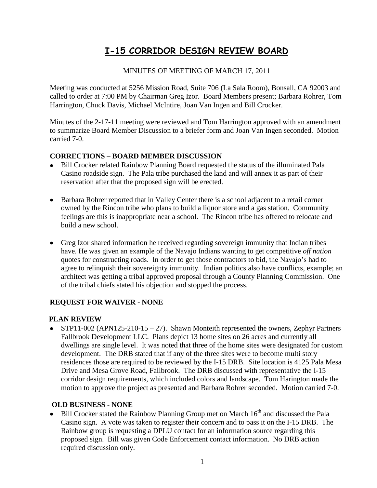# **I-15 CORRIDOR DESIGN REVIEW BOARD**

# MINUTES OF MEETING OF MARCH 17, 2011

Meeting was conducted at 5256 Mission Road, Suite 706 (La Sala Room), Bonsall, CA 92003 and called to order at 7:00 PM by Chairman Greg Izor. Board Members present; Barbara Rohrer, Tom Harrington, Chuck Davis, Michael McIntire, Joan Van Ingen and Bill Crocker.

Minutes of the 2-17-11 meeting were reviewed and Tom Harrington approved with an amendment to summarize Board Member Discussion to a briefer form and Joan Van Ingen seconded. Motion carried 7-0.

# **CORRECTIONS – BOARD MEMBER DISCUSSION**

- Bill Crocker related Rainbow Planning Board requested the status of the illuminated Pala  $\bullet$ Casino roadside sign. The Pala tribe purchased the land and will annex it as part of their reservation after that the proposed sign will be erected.
- Barbara Rohrer reported that in Valley Center there is a school adjacent to a retail corner owned by the Rincon tribe who plans to build a liquor store and a gas station. Community feelings are this is inappropriate near a school. The Rincon tribe has offered to relocate and build a new school.
- Greg Izor shared information he received regarding sovereign immunity that Indian tribes have. He was given an example of the Navajo Indians wanting to get competitive *off nation* quotes for constructing roads. In order to get those contractors to bid, the Navajo's had to agree to relinquish their sovereignty immunity. Indian politics also have conflicts, example; an architect was getting a tribal approved proposal through a County Planning Commission. One of the tribal chiefs stated his objection and stopped the process.

# **REQUEST FOR WAIVER - NONE**

# **PLAN REVIEW**

 $\bullet$  STP11-002 (APN125-210-15 – 27). Shawn Monteith represented the owners, Zephyr Partners Fallbrook Development LLC. Plans depict 13 home sites on 26 acres and currently all dwellings are single level. It was noted that three of the home sites were designated for custom development. The DRB stated that if any of the three sites were to become multi story residences those are required to be reviewed by the I-15 DRB. Site location is 4125 Pala Mesa Drive and Mesa Grove Road, Fallbrook. The DRB discussed with representative the I-15 corridor design requirements, which included colors and landscape. Tom Harington made the motion to approve the project as presented and Barbara Rohrer seconded. Motion carried 7-0.

# **OLD BUSINESS - NONE**

• Bill Crocker stated the Rainbow Planning Group met on March 16<sup>th</sup> and discussed the Pala Casino sign. A vote was taken to register their concern and to pass it on the I-15 DRB. The Rainbow group is requesting a DPLU contact for an information source regarding this proposed sign. Bill was given Code Enforcement contact information. No DRB action required discussion only.